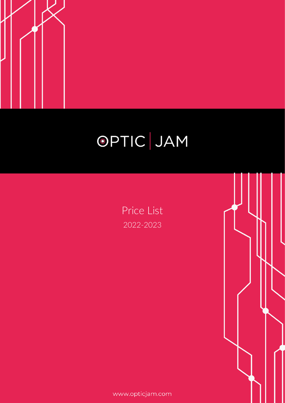

## OPTIC JAM

Price List 2022-2023

www.opticjam.com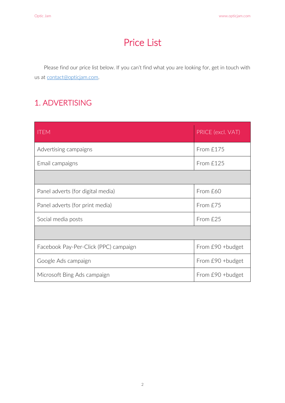### Price List

Please find our price list below. If you can't find what you are looking for, get in touch with us at [contact@opticjam.com.](mailto:contact@opticjam.com)

#### 1. ADVERTISING

| <b>ITEM</b>                           | PRICE (excl. VAT) |
|---------------------------------------|-------------------|
| Advertising campaigns                 | From £175         |
| Email campaigns                       | From £125         |
|                                       |                   |
| Panel adverts (for digital media)     | From £60          |
| Panel adverts (for print media)       | From £75          |
| Social media posts                    | From £25          |
|                                       |                   |
| Facebook Pay-Per-Click (PPC) campaign | From £90 +budget  |
| Google Ads campaign                   | From £90 + budget |
| Microsoft Bing Ads campaign           | From £90 +budget  |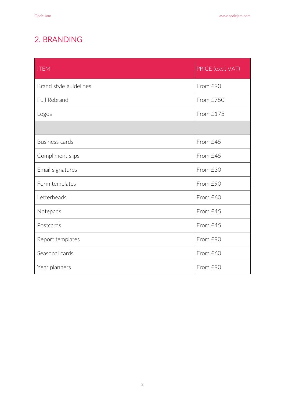#### 2. BRANDING

| <b>ITEM</b>            | PRICE (excl. VAT) |
|------------------------|-------------------|
| Brand style guidelines | From £90          |
| Full Rebrand           | From £750         |
| Logos                  | From £175         |
|                        |                   |
| <b>Business cards</b>  | From £45          |
| Compliment slips       | From £45          |
| Email signatures       | From £30          |
| Form templates         | From £90          |
| Letterheads            | From £60          |
| Notepads               | From £45          |
| Postcards              | From £45          |
| Report templates       | From £90          |
| Seasonal cards         | From £60          |
| Year planners          | From £90          |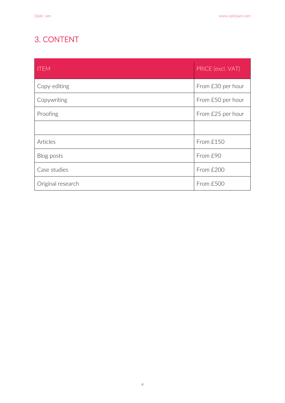#### 3. CONTENT

| <b>ITEM</b>       | PRICE (excl. VAT) |
|-------------------|-------------------|
| Copy-editing      | From £30 per hour |
| Copywriting       | From £50 per hour |
| Proofing          | From £25 per hour |
|                   |                   |
| Articles          | From £150         |
| Blog posts        | From £90          |
| Case studies      | From £200         |
| Original research | From £500         |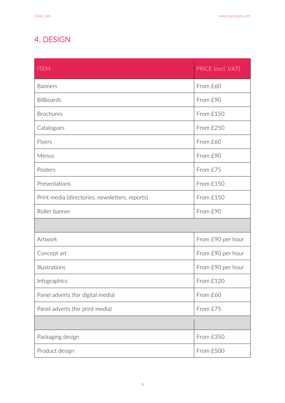#### 4. DESIGN

| <b>ITEM</b>                                     | PRICE (excl. VAT) |
|-------------------------------------------------|-------------------|
| <b>Banners</b>                                  | From £60          |
| Billboards                                      | From £90          |
| <b>Brochures</b>                                | From £150         |
| Catalogues                                      | From £250         |
| Flyers                                          | From £60          |
| Menus                                           | From £90          |
| Posters                                         | From £75          |
| Presentations                                   | From £150         |
| Print media (directories, newsletters, reports) | From £150         |
| Roller banner                                   | From £90          |
|                                                 |                   |
| Artwork                                         | From £90 per hour |
| Concept art                                     | From £90 per hour |
| Illustrations                                   | From £90 per hour |
| Infographics                                    | From £120         |
| Panel adverts (for digital media)               | From £60          |
| Panel adverts (for print media)                 | From £75          |
|                                                 |                   |
| Packaging design                                | From £350         |
| Product design                                  | From £500         |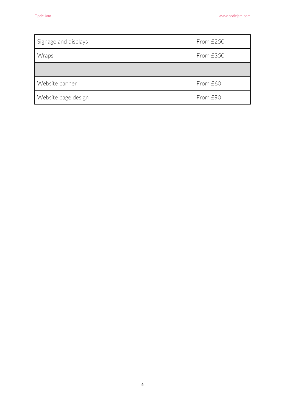| Signage and displays | From £250 |
|----------------------|-----------|
| Wraps                | From £350 |
|                      |           |
| Website banner       | From £60  |
| Website page design  | From £90  |